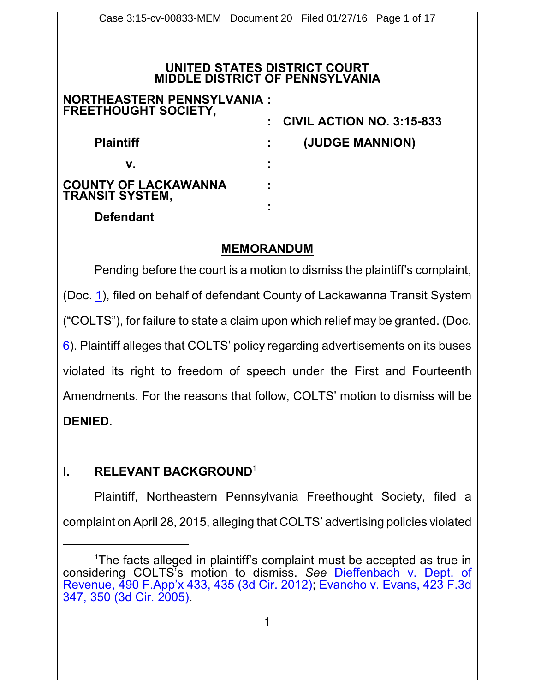### **UNITED STATES DISTRICT COURT MIDDLE DISTRICT OF PENNSYLVANIA**

| <b>NORTHEASTERN PENNSYLVANIA:</b><br><b>FREETHOUGHT SOCIETY,</b> |   |                                  |
|------------------------------------------------------------------|---|----------------------------------|
|                                                                  |   | <b>CIVIL ACTION NO. 3:15-833</b> |
| <b>Plaintiff</b>                                                 |   | (JUDGE MANNION)                  |
| v.                                                               |   |                                  |
| <b>COUNTY OF LACKAWANNA</b><br><b>TRANSIT SYSTEM,</b>            |   |                                  |
| <b>Defendant</b>                                                 | ٠ |                                  |

### **MEMORANDUM**

Pending before the court is a motion to dismiss the plaintiff's complaint, (Doc. [1](http://ecf.pamd.uscourts.gov/doc1/15505054481)), filed on behalf of defendant County of Lackawanna Transit System ("COLTS"), for failure to state a claim upon which relief may be granted. (Doc. [6](http://ecf.pamd.uscourts.gov/doc1/15505119436)). Plaintiff alleges that COLTS' policy regarding advertisements on its buses violated its right to freedom of speech under the First and Fourteenth Amendments. For the reasons that follow, COLTS' motion to dismiss will be **DENIED**.

# **I. RELEVANT BACKGROUND**<sup>1</sup>

Plaintiff, Northeastern Pennsylvania Freethought Society, filed a complaint on April 28, 2015, alleging that COLTS' advertising policies violated

<sup>1</sup>The facts alleged in plaintiff's complaint must be accepted as true in considering COLTS's motion to dismiss. *See* [Dieffenbach v.](https://www.westlaw.com/Document/I48b5fd83db3d11e191598982704508d1/View/FullText.html?transitionType=Default&contextData=(sc.Default)&VR=3.0&RS=da3.0&fragmentIdentifier=co_pp_sp_6538_435) Dept. of [Revenue, 490 F.App'x](https://www.westlaw.com/Document/I48b5fd83db3d11e191598982704508d1/View/FullText.html?transitionType=Default&contextData=(sc.Default)&VR=3.0&RS=da3.0&fragmentIdentifier=co_pp_sp_6538_435) 433, 435 (3d Cir. 2012); [Evancho v.](https://www.westlaw.com/Document/I89099d78239c11dab072a248d584787d/View/FullText.html?transitionType=Default&contextData=(sc.Default)&VR=3.0&RS=da3.0&fragmentIdentifier=co_pp_sp_506_350) Evans, 423 F.3d 347, [350 \(3d Cir.](https://www.westlaw.com/Document/I89099d78239c11dab072a248d584787d/View/FullText.html?transitionType=Default&contextData=(sc.Default)&VR=3.0&RS=da3.0&fragmentIdentifier=co_pp_sp_506_350) 2005).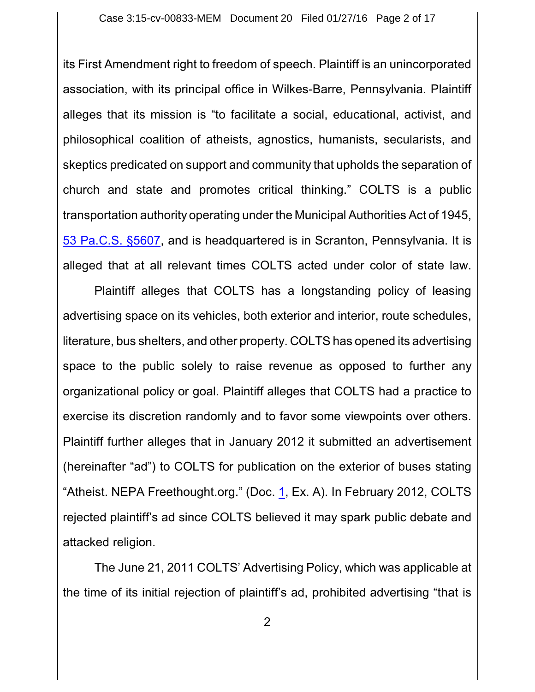its First Amendment right to freedom of speech. Plaintiff is an unincorporated association, with its principal office in Wilkes-Barre, Pennsylvania. Plaintiff alleges that its mission is "to facilitate a social, educational, activist, and philosophical coalition of atheists, agnostics, humanists, secularists, and skeptics predicated on support and community that upholds the separation of church and state and promotes critical thinking." COLTS is a public transportation authority operating under the Municipal Authorities Act of 1945, [53 Pa.C.S.](https://www.westlaw.com/Document/N8D563CA0115C11E48A50879307049736/View/FullText.html?transitionType=Default&contextData=(sc.Default)&VR=3.0&RS=da3.0) §5607, and is headquartered is in Scranton, Pennsylvania. It is alleged that at all relevant times COLTS acted under color of state law.

Plaintiff alleges that COLTS has a longstanding policy of leasing advertising space on its vehicles, both exterior and interior, route schedules, literature, bus shelters, and other property. COLTS has opened its advertising space to the public solely to raise revenue as opposed to further any organizational policy or goal. Plaintiff alleges that COLTS had a practice to exercise its discretion randomly and to favor some viewpoints over others. Plaintiff further alleges that in January 2012 it submitted an advertisement (hereinafter "ad") to COLTS for publication on the exterior of buses stating "Atheist. NEPA Freethought.org." (Doc. [1](http://ecf.pamd.uscourts.gov/doc1/15505054481), Ex. A). In February 2012, COLTS rejected plaintiff's ad since COLTS believed it may spark public debate and attacked religion.

The June 21, 2011 COLTS' Advertising Policy, which was applicable at the time of its initial rejection of plaintiff's ad, prohibited advertising "that is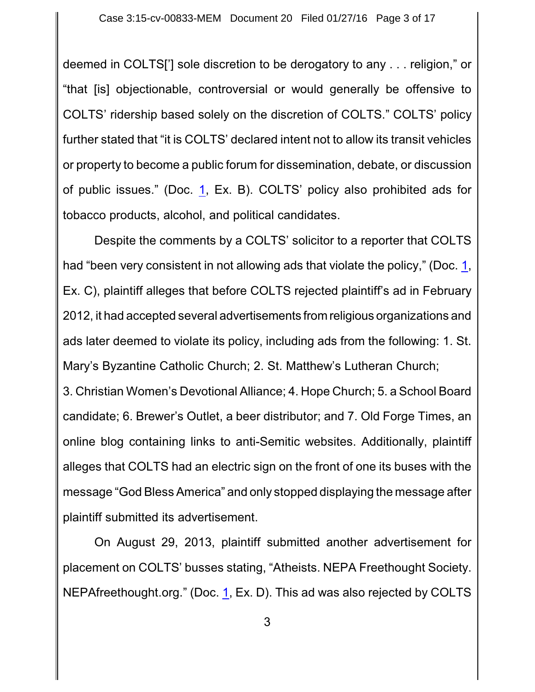deemed in COLTS['] sole discretion to be derogatory to any . . . religion," or "that [is] objectionable, controversial or would generally be offensive to COLTS' ridership based solely on the discretion of COLTS." COLTS' policy further stated that "it is COLTS' declared intent not to allow its transit vehicles or property to become a public forum for dissemination, debate, or discussion of public issues." (Doc. [1](http://ecf.pamd.uscourts.gov/doc1/15505054481), Ex. B). COLTS' policy also prohibited ads for tobacco products, alcohol, and political candidates.

Despite the comments by a COLTS' solicitor to a reporter that COLTS had "been very consistent in not allowing ads that violate the policy," (Doc. [1](http://ecf.pamd.uscourts.gov/doc1/15505054481), Ex. C), plaintiff alleges that before COLTS rejected plaintiff's ad in February 2012, it had accepted several advertisements from religious organizations and ads later deemed to violate its policy, including ads from the following: 1. St. Mary's Byzantine Catholic Church; 2. St. Matthew's Lutheran Church;

3. Christian Women's Devotional Alliance; 4. Hope Church; 5. a School Board candidate; 6. Brewer's Outlet, a beer distributor; and 7. Old Forge Times, an online blog containing links to anti-Semitic websites. Additionally, plaintiff alleges that COLTS had an electric sign on the front of one its buses with the message "God Bless America" and only stopped displaying the message after plaintiff submitted its advertisement.

On August 29, 2013, plaintiff submitted another advertisement for placement on COLTS' busses stating, "Atheists. NEPA Freethought Society. NEPAfreethought.org." (Doc. [1](http://ecf.pamd.uscourts.gov/doc1/15505054481), Ex. D). This ad was also rejected by COLTS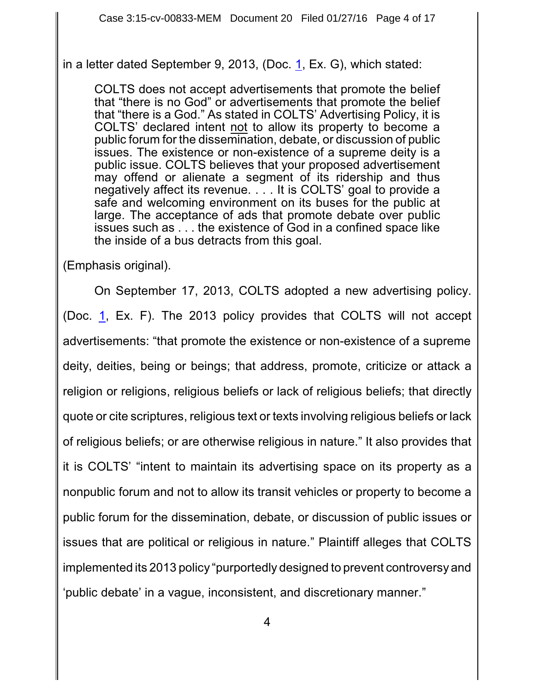in a letter dated September 9, 20[1](http://ecf.pamd.uscourts.gov/doc1/15505054481)3, (Doc.  $1$ , Ex. G), which stated:

COLTS does not accept advertisements that promote the belief that "there is no God" or advertisements that promote the belief that "there is a God." As stated in COLTS' Advertising Policy, it is COLTS' declared intent not to allow its property to become a public forum for the dissemination, debate, or discussion of public issues. The existence or non-existence of a supreme deity is a public issue. COLTS believes that your proposed advertisement may offend or alienate a segment of its ridership and thus negatively affect its revenue. . . . It is COLTS' goal to provide a safe and welcoming environment on its buses for the public at large. The acceptance of ads that promote debate over public issues such as . . . the existence of God in a confined space like the inside of a bus detracts from this goal.

(Emphasis original).

On September 17, 2013, COLTS adopted a new advertising policy. (Doc. [1](http://ecf.pamd.uscourts.gov/doc1/15505054481), Ex. F). The 2013 policy provides that COLTS will not accept advertisements: "that promote the existence or non-existence of a supreme deity, deities, being or beings; that address, promote, criticize or attack a religion or religions, religious beliefs or lack of religious beliefs; that directly quote or cite scriptures, religious text or texts involving religious beliefs or lack of religious beliefs; or are otherwise religious in nature." It also provides that it is COLTS' "intent to maintain its advertising space on its property as a nonpublic forum and not to allow its transit vehicles or property to become a public forum for the dissemination, debate, or discussion of public issues or issues that are political or religious in nature." Plaintiff alleges that COLTS implemented its 2013 policy "purportedly designed to prevent controversy and 'public debate' in a vague, inconsistent, and discretionary manner."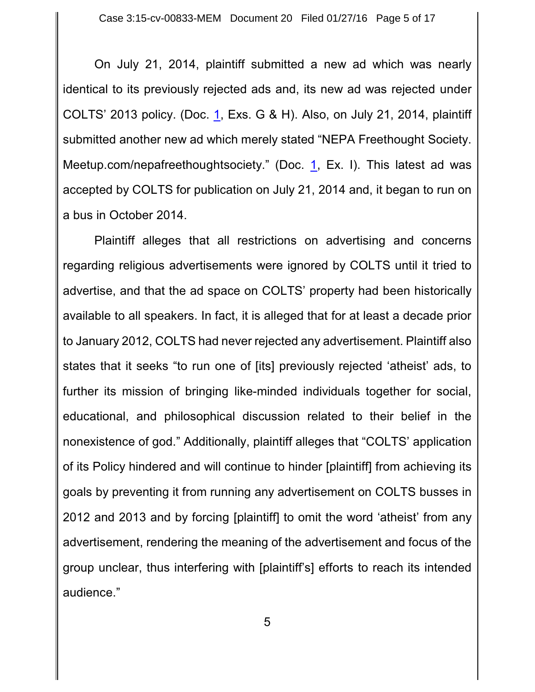On July 21, 2014, plaintiff submitted a new ad which was nearly identical to its previously rejected ads and, its new ad was rejected under COLTS' 2013 policy. (Doc. [1](http://ecf.pamd.uscourts.gov/doc1/15505054481), Exs. G & H). Also, on July 21, 2014, plaintiff submitted another new ad which merely stated "NEPA Freethought Society. Meetup.com/nepafreethoughtsociety." (Doc. [1](http://ecf.pamd.uscourts.gov/doc1/15505054481), Ex. I). This latest ad was accepted by COLTS for publication on July 21, 2014 and, it began to run on a bus in October 2014.

Plaintiff alleges that all restrictions on advertising and concerns regarding religious advertisements were ignored by COLTS until it tried to advertise, and that the ad space on COLTS' property had been historically available to all speakers. In fact, it is alleged that for at least a decade prior to January 2012, COLTS had never rejected any advertisement. Plaintiff also states that it seeks "to run one of [its] previously rejected 'atheist' ads, to further its mission of bringing like-minded individuals together for social, educational, and philosophical discussion related to their belief in the nonexistence of god." Additionally, plaintiff alleges that "COLTS' application of its Policy hindered and will continue to hinder [plaintiff] from achieving its goals by preventing it from running any advertisement on COLTS busses in 2012 and 2013 and by forcing [plaintiff] to omit the word 'atheist' from any advertisement, rendering the meaning of the advertisement and focus of the group unclear, thus interfering with [plaintiff's] efforts to reach its intended audience."

5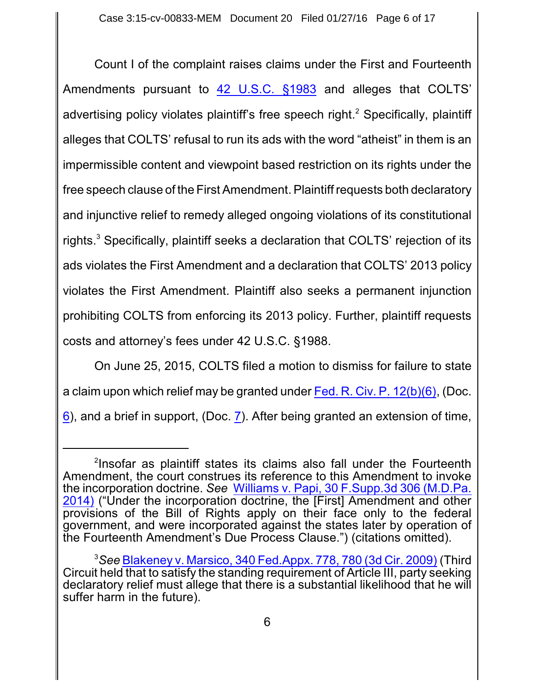Count I of the complaint raises claims under the First and Fourteenth Amendments pursuant to [42 U.S.C.](https://www.westlaw.com/Document/NDFE80F60AFF711D8803AE0632FEDDFBF/View/FullText.html?transitionType=Default&contextData=(sc.Default)&VR=3.0&RS=da3.0) §1983 and alleges that COLTS' advertising policy violates plaintiff's free speech right.<sup>2</sup> Specifically, plaintiff alleges that COLTS' refusal to run its ads with the word "atheist" in them is an impermissible content and viewpoint based restriction on its rights under the free speech clause of the First Amendment. Plaintiff requests both declaratory and injunctive relief to remedy alleged ongoing violations of its constitutional rights. <sup>3</sup> Specifically, plaintiff seeks a declaration that COLTS' rejection of its ads violates the First Amendment and a declaration that COLTS' 2013 policy violates the First Amendment. Plaintiff also seeks a permanent injunction prohibiting COLTS from enforcing its 2013 policy. Further, plaintiff requests costs and attorney's fees under 42 U.S.C. §1988.

On June 25, 2015, COLTS filed a motion to dismiss for failure to state a claim upon which relief may be granted under Fed. R. Civ. P. [12\(b\)\(6\)](http://westlaw.com/find/default.wl?ft=L&docname=USFRCPR12&rs=btil2.0&rp=%2ffind%2fdefault.wl&fn=_top&findtype=L&vr=2.0&db=1000600&wbtoolsId=USFRCPR12&HistoryType=F), (Doc. [6](http://ecf.pamd.uscourts.gov/doc1/15505119436)), and a brief in support, (Doc. [7](http://ecf.pamd.uscourts.gov/doc1/15505119457)). After being granted an extension of time,

<sup>&</sup>lt;sup>2</sup>Insofar as plaintiff states its claims also fall under the Fourteenth Amendment, the court construes its reference to this Amendment to invoke the incorporation doctrine. *See* Williams v. Papi, [30 F.Supp.3d 306 \(M.D.Pa.](https://www.westlaw.com/Document/I24e976de069911e4b4bafa136b480ad2/View/FullText.html?transitionType=Default&contextData=(sc.Default)&VR=3.0&RS=da3.0) [2014\)](https://www.westlaw.com/Document/I24e976de069911e4b4bafa136b480ad2/View/FullText.html?transitionType=Default&contextData=(sc.Default)&VR=3.0&RS=da3.0) ("Under the incorporation doctrine, the [First] Amendment and other provisions of the Bill of Rights apply on their face only to the federal government, and were incorporated against the states later by operation of the Fourteenth Amendment's Due Process Clause.") (citations omitted).

<sup>3</sup>*See* Blakeney v. Marsico, [340 Fed.Appx.](https://www.westlaw.com/Document/I0f51d5ca872311deabded03f2b83b8a4/View/FullText.html?transitionType=Default&contextData=(sc.Default)&VR=3.0&RS=da3.0&fragmentIdentifier=co_pp_sp_6538_780) 778, 780 (3d Cir. 2009) (Third Circuit held that to satisfy the standing requirement of Article III, party seeking declaratory relief must allege that there is a substantial likelihood that he will suffer harm in the future).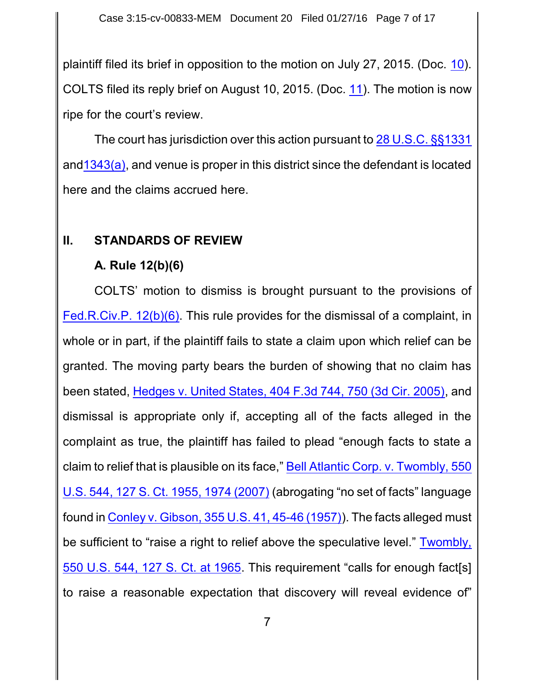plaintiff filed its brief in opposition to the motion on July 27, 2015. (Doc. [10](http://ecf.pamd.uscourts.gov/doc1/15505151912)). COLTS filed its reply brief on August 10, 2015. (Doc. [11](http://ecf.pamd.uscourts.gov/doc1/15505166282)). The motion is now ripe for the court's review.

The court has jurisdiction over this action pursuant to [28 U.S.C.](https://www.westlaw.com/Document/NCC2763E0A35911D88B25BBE406C5D950/View/FullText.html?transitionType=Default&contextData=(sc.Default)&VR=3.0&RS=da3.0) §§1331 and1343(a), and venue is proper in this district since the defendant is located here and the claims accrued here.

### **II. STANDARDS OF REVIEW**

## **A. Rule 12(b)(6)**

COLTS' motion to dismiss is brought pursuant to the provisions of [Fed.R.Civ.P. 12\(b\)\(6\)](https://www.westlaw.com/Document/N96C8CD1043A111DC8D9EC9ECEEDEF2EE/View/FullText.html?transitionType=Default&contextData=(sc.Default)&VR=3.0&RS=da3.0). This rule provides for the dismissal of a complaint, in whole or in part, if the plaintiff fails to state a claim upon which relief can be granted. The moving party bears the burden of showing that no claim has been stated, Hedges v. [United States,](https://www.westlaw.com/Document/I015592e7ad4e11d9bc61beebb95be672/View/FullText.html?transitionType=Default&contextData=(sc.Default)&VR=3.0&RS=da3.0&fragmentIdentifier=co_pp_sp_506_750) 404 F.3d 744, 750 (3d Cir. 2005), and dismissal is appropriate only if, accepting all of the facts alleged in the complaint as true, the plaintiff has failed to plead "enough facts to state a claim to relief that is plausible on its face," [Bell Atlantic](https://www.westlaw.com/Document/Ib53eb62e07a011dcb035bac3a32ef289/View/FullText.html?transitionType=Default&contextData=(sc.Default)&VR=3.0&RS=da3.0&fragmentIdentifier=co_pp_sp_708_1974) Corp. v. Twombly, 550 U.S. 544, 127 S. Ct. 1955, [1974 \(2007\)](https://www.westlaw.com/Document/Ib53eb62e07a011dcb035bac3a32ef289/View/FullText.html?transitionType=Default&contextData=(sc.Default)&VR=3.0&RS=da3.0&fragmentIdentifier=co_pp_sp_708_1974) (abrogating "no set of facts" language found in Conley v. Gibson, 355 U.S. 41, [45-46 \(1957\)](https://www.westlaw.com/Document/Id79a1634517711dca1e6fa81e64372bf/View/FullText.html?transitionType=Default&contextData=(sc.Default)&VR=3.0&RS=da3.0&fragmentIdentifier=co_pp_sp_780_45)). The facts alleged must be sufficient to "raise a right to relief above the speculative level." [Twombly,](https://www.westlaw.com/Document/Ib53eb62e07a011dcb035bac3a32ef289/View/FullText.html?transitionType=Default&contextData=(sc.Default)&VR=3.0&RS=da3.0&fragmentIdentifier=co_pp_sp_708_1965) [550 U.S.](https://www.westlaw.com/Document/Ib53eb62e07a011dcb035bac3a32ef289/View/FullText.html?transitionType=Default&contextData=(sc.Default)&VR=3.0&RS=da3.0&fragmentIdentifier=co_pp_sp_708_1965) 544, 127 S. Ct. at 1965. This requirement "calls for enough fact[s] to raise a reasonable expectation that discovery will reveal evidence of"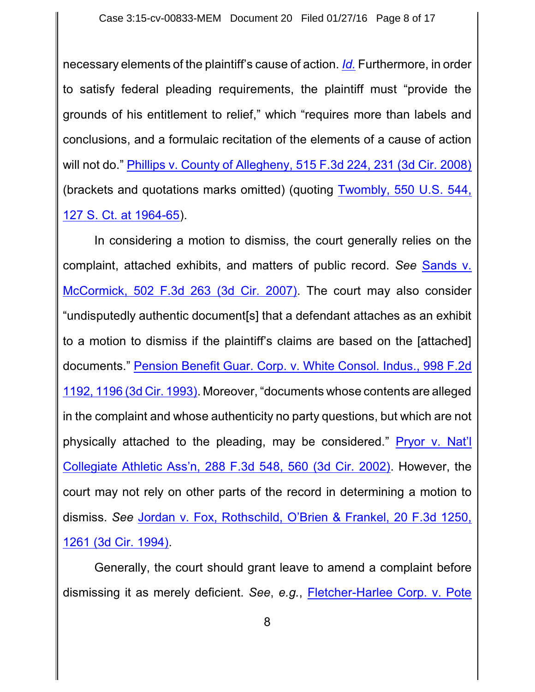necessary elements of the plaintiff's cause of action. *[Id.](https://www.westlaw.com/Document/Ib53eb62e07a011dcb035bac3a32ef289/View/FullText.html?transitionType=Default&contextData=(sc.Default)&VR=3.0&RS=da3.0)* Furthermore, in order to satisfy federal pleading requirements, the plaintiff must "provide the grounds of his entitlement to relief," which "requires more than labels and conclusions, and a formulaic recitation of the elements of a cause of action will not do." Phillips v. County of Allegheny, [515 F.3d 224,](https://www.westlaw.com/Document/I70b93fd2d3f111dcb6a3a099756c05b7/View/FullText.html?transitionType=Default&contextData=(sc.Default)&VR=3.0&RS=da3.0&fragmentIdentifier=co_pp_sp_506_231) 231 (3d Cir. 2008) (brackets and quotations marks omitted) (quoting [Twombly,](https://www.westlaw.com/Document/Ib53eb62e07a011dcb035bac3a32ef289/View/FullText.html?transitionType=Default&contextData=(sc.Default)&VR=3.0&RS=da3.0&fragmentIdentifier=co_pp_sp_708_1964) 550 U.S. 544, [127 S. Ct.](https://www.westlaw.com/Document/Ib53eb62e07a011dcb035bac3a32ef289/View/FullText.html?transitionType=Default&contextData=(sc.Default)&VR=3.0&RS=da3.0&fragmentIdentifier=co_pp_sp_708_1964) at 1964-65).

In considering a motion to dismiss, the court generally relies on the complaint, attached exhibits, and matters of public record. *See* [Sands](https://www.westlaw.com/Document/I7fe7c94f65f211dcbd4c839f532b53c5/View/FullText.html?transitionType=Default&contextData=(sc.Default)&VR=3.0&RS=da3.0) v. McCormick, [502 F.3d 263 \(3d Cir.](https://www.westlaw.com/Document/I7fe7c94f65f211dcbd4c839f532b53c5/View/FullText.html?transitionType=Default&contextData=(sc.Default)&VR=3.0&RS=da3.0) 2007). The court may also consider "undisputedly authentic document[s] that a defendant attaches as an exhibit to a motion to dismiss if the plaintiff's claims are based on the [attached] documents." Pension Benefit Guar. [Corp. v. White Consol. Indus., 998 F.2d](https://www.westlaw.com/Document/I1fe1754196fa11d9bdd1cfdd544ca3a4/View/FullText.html?transitionType=Default&contextData=(sc.Default)&VR=3.0&RS=da3.0&fragmentIdentifier=co_pp_sp_350_1196) 1192, [1196 \(3d Cir.](https://www.westlaw.com/Document/I1fe1754196fa11d9bdd1cfdd544ca3a4/View/FullText.html?transitionType=Default&contextData=(sc.Default)&VR=3.0&RS=da3.0&fragmentIdentifier=co_pp_sp_350_1196) 1993). Moreover, "documents whose contents are alleged in the complaint and whose authenticity no party questions, but which are not physically attached to the pleading, may be considered." [Pryor v.](https://www.westlaw.com/Document/I9cdae88479d411d9ac1ffa9f33b6c3b0/View/FullText.html?transitionType=Default&contextData=(sc.Default)&VR=3.0&RS=da3.0&fragmentIdentifier=co_pp_sp_506_560) Nat'l [Collegiate Athletic](https://www.westlaw.com/Document/I9cdae88479d411d9ac1ffa9f33b6c3b0/View/FullText.html?transitionType=Default&contextData=(sc.Default)&VR=3.0&RS=da3.0&fragmentIdentifier=co_pp_sp_506_560) Ass'n, 288 F.3d 548, 560 (3d Cir. 2002). However, the court may not rely on other parts of the record in determining a motion to dismiss. *See* Jordan v. Fox, Rothschild, [O'Brien & Frankel,](https://www.westlaw.com/Document/I2cba35b9970211d9bc61beebb95be672/View/FullText.html?transitionType=Default&contextData=(sc.Default)&VR=3.0&RS=da3.0&fragmentIdentifier=co_pp_sp_506_1261) 20 F.3d 1250, [1261 \(3d Cir.](https://www.westlaw.com/Document/I2cba35b9970211d9bc61beebb95be672/View/FullText.html?transitionType=Default&contextData=(sc.Default)&VR=3.0&RS=da3.0&fragmentIdentifier=co_pp_sp_506_1261) 1994).

Generally, the court should grant leave to amend a complaint before dismissing it as merely deficient. *See*, *e.g.*, [Fletcher-Harlee Corp.](https://www.westlaw.com/Document/I0f0eb4ffe38111dbaf8dafd7ee2b8b26/View/FullText.html?transitionType=Default&contextData=(sc.Default)&VR=3.0&RS=da3.0&fragmentIdentifier=co_pp_sp_506_252) v. Pote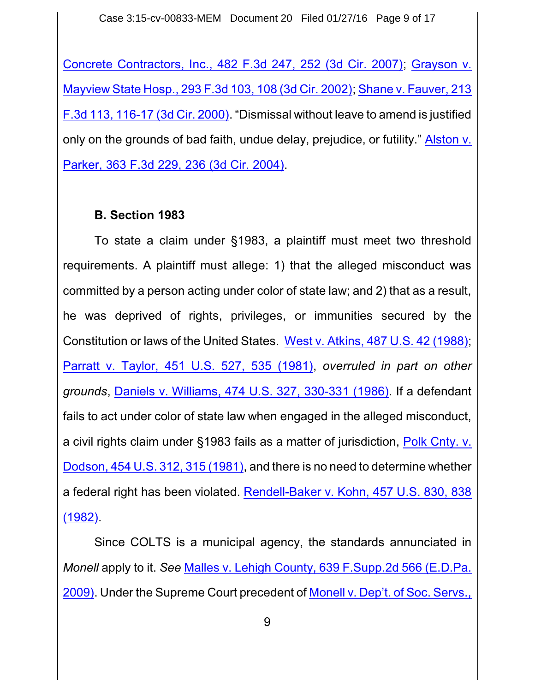Case 3:15-cv-00833-MEM Document 20 Filed 01/27/16 Page 9 of 17

Concrete Contractors, Inc., 482 F.3d 247, 252 (3d Cir. 2007); [Grayson v.](https://www.westlaw.com/Document/Ib4dc826979d711d99c4dbb2f0352441d/View/FullText.html?transitionType=Default&contextData=(sc.Default)&VR=3.0&RS=da3.0&fragmentIdentifier=co_pp_sp_506_108) Mayview State Hosp., [293 F.3d 103,](https://www.westlaw.com/Document/Ib4dc826979d711d99c4dbb2f0352441d/View/FullText.html?transitionType=Default&contextData=(sc.Default)&VR=3.0&RS=da3.0&fragmentIdentifier=co_pp_sp_506_108) 108 (3d Cir. 2002); [Shane v.](https://www.westlaw.com/Document/Id33a4bb7798311d99c4dbb2f0352441d/View/FullText.html?transitionType=Default&contextData=(sc.Default)&VR=3.0&RS=da3.0&fragmentIdentifier=co_pp_sp_506_116) Fauver, 213 F.3d 113, [116-17 \(3d Cir.](https://www.westlaw.com/Document/Id33a4bb7798311d99c4dbb2f0352441d/View/FullText.html?transitionType=Default&contextData=(sc.Default)&VR=3.0&RS=da3.0&fragmentIdentifier=co_pp_sp_506_116) 2000). "Dismissal without leave to amend is justified only on the grounds of bad faith, undue delay, prejudice, or futility." [Alston v.](https://www.westlaw.com/Document/I6abb6ee489fd11d9ac45f46c5ea084a3/View/FullText.html?transitionType=Default&contextData=(sc.Default)&VR=3.0&RS=da3.0&fragmentIdentifier=co_pp_sp_506_236) Parker, [363 F.3d 229,](https://www.westlaw.com/Document/I6abb6ee489fd11d9ac45f46c5ea084a3/View/FullText.html?transitionType=Default&contextData=(sc.Default)&VR=3.0&RS=da3.0&fragmentIdentifier=co_pp_sp_506_236) 236 (3d Cir. 2004).

### **B. Section 1983**

To state a claim under §1983, a plaintiff must meet two threshold requirements. A plaintiff must allege: 1) that the alleged misconduct was committed by a person acting under color of state law; and 2) that as a result, he was deprived of rights, privileges, or immunities secured by the Constitution or laws of the United States. West v. Atkins, 487 U.S. [42 \(1988\)](https://www.westlaw.com/Document/I1786319b9c1f11d993e6d35cc61aab4a/View/FullText.html?transitionType=Default&contextData=(sc.Default)&VR=3.0&RS=da3.0); Parratt v. Taylor, 451 U.S. 527, [535 \(1981\)](https://www.westlaw.com/Document/I618278869c1f11d9bc61beebb95be672/View/FullText.html?transitionType=Default&contextData=(sc.Default)&VR=3.0&RS=da3.0&fragmentIdentifier=co_pp_sp_780_535), *overruled in part on other grounds*, Daniels v. [Williams,](https://www.westlaw.com/Link/Document/FullText?cite=474US327&VR=3.0&RS=da3.0) 474 U.S. 327, 330-331 (1986). If a defendant fails to act under color of state law when engaged in the alleged misconduct, a civil rights claim under §1983 fails as a matter of jurisdiction, [Polk Cnty. v.](https://www.westlaw.com/Document/I178f324e9c1f11d993e6d35cc61aab4a/View/FullText.html?transitionType=Default&contextData=(sc.Default)&VR=3.0&RS=da3.0&fragmentIdentifier=co_pp_sp_780_315) Dodson, 454 U.S. 312, [315 \(1981\)](https://www.westlaw.com/Document/I178f324e9c1f11d993e6d35cc61aab4a/View/FullText.html?transitionType=Default&contextData=(sc.Default)&VR=3.0&RS=da3.0&fragmentIdentifier=co_pp_sp_780_315), and there is no need to determine whether a federal right has been violated. [Rendell-Baker v. Kohn, 457 U.S. 830, 838](https://www.westlaw.com/Document/I72eafe199c9a11d991d0cc6b54f12d4d/View/FullText.html?transitionType=Default&contextData=(sc.Default)&VR=3.0&RS=da3.0&fragmentIdentifier=co_pp_sp_780_838)  $(1982)$ 

Since COLTS is a municipal agency, the standards annunciated in *Monell* apply to it. *See* Malles v. Lehigh County, [639 F.Supp.2d 566 \(E.D.Pa.](https://www.westlaw.com/Document/I4cec04b27d2d11de9988d233d23fe599/View/FullText.html?transitionType=Default&contextData=(sc.Default)&VR=3.0&RS=da3.0) [2009\)](https://www.westlaw.com/Document/I4cec04b27d2d11de9988d233d23fe599/View/FullText.html?transitionType=Default&contextData=(sc.Default)&VR=3.0&RS=da3.0). Under the Supreme Court precedent of Monell v. Dep't. of [Soc. Servs.,](https://www.westlaw.com/Document/I6184263e9c1f11d9bc61beebb95be672/View/FullText.html?transitionType=Default&contextData=(sc.Default)&VR=3.0&RS=da3.0&fragmentIdentifier=co_pp_sp_780_694)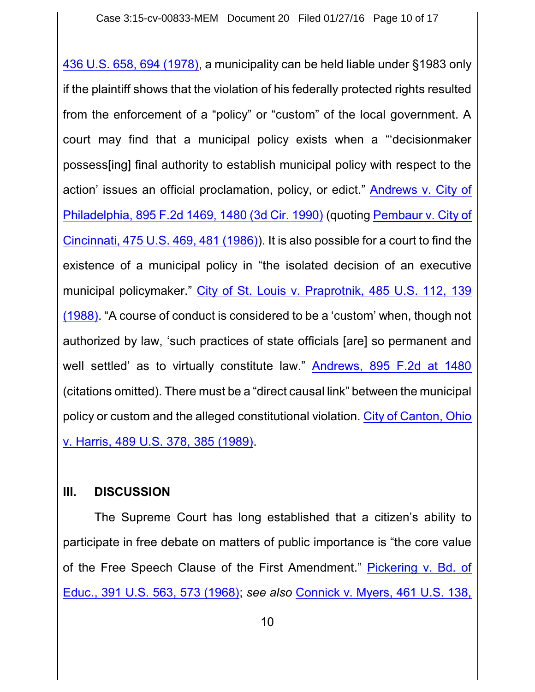436 U.S. 658, 694 (1978), a municipality can be held liable under §1983 only if the plaintiff shows that the violation of his federally protected rights resulted from the enforcement of a "policy" or "custom" of the local government. A court may find that a municipal policy exists when a "'decisionmaker possess[ing] final authority to establish municipal policy with respect to the action' issues an official proclamation, policy, or edict." [Andrews](https://www.westlaw.com/Document/I381cd647971d11d9bc61beebb95be672/View/FullText.html?transitionType=Default&contextData=(sc.Default)&VR=3.0&RS=da3.0&fragmentIdentifier=co_pp_sp_350_1480) v. City of Philadelphia, [895 F.2d 1469,](https://www.westlaw.com/Document/I381cd647971d11d9bc61beebb95be672/View/FullText.html?transitionType=Default&contextData=(sc.Default)&VR=3.0&RS=da3.0&fragmentIdentifier=co_pp_sp_350_1480) 1480 (3d Cir. 1990) (quoting [Pembaur v.](https://www.westlaw.com/Document/I618c8aa09c1f11d9bc61beebb95be672/View/FullText.html?transitionType=Default&contextData=(sc.Default)&VR=3.0&RS=da3.0&fragmentIdentifier=co_pp_sp_780_481) City of Cincinnati, 475 U.S. 469, [481 \(1986\)](https://www.westlaw.com/Document/I618c8aa09c1f11d9bc61beebb95be672/View/FullText.html?transitionType=Default&contextData=(sc.Default)&VR=3.0&RS=da3.0&fragmentIdentifier=co_pp_sp_780_481)). It is also possible for a court to find the existence of a municipal policy in "the isolated decision of an executive municipal policymaker." City of St. Louis v. [Praprotnik,](https://www.westlaw.com/Document/I178cc14f9c1f11d993e6d35cc61aab4a/View/FullText.html?transitionType=Default&contextData=(sc.Default)&VR=3.0&RS=da3.0&fragmentIdentifier=co_pp_sp_780_139) 485 U.S. 112, 139 [\(1988\)](https://www.westlaw.com/Document/I178cc14f9c1f11d993e6d35cc61aab4a/View/FullText.html?transitionType=Default&contextData=(sc.Default)&VR=3.0&RS=da3.0&fragmentIdentifier=co_pp_sp_780_139). "A course of conduct is considered to be a 'custom' when, though not authorized by law, 'such practices of state officials [are] so permanent and well settled' as to virtually constitute law." Andrews, [895 F.2d at](https://www.westlaw.com/Document/I381cd647971d11d9bc61beebb95be672/View/FullText.html?transitionType=Default&contextData=(sc.Default)&VR=3.0&RS=da3.0&fragmentIdentifier=co_pp_sp_350_1480) 1480 (citations omitted). There must be a "direct causal link" between the municipal policy or custom and the alleged constitutional violation. City of [Canton,](https://www.westlaw.com/Document/I6b457f649c2511d9bc61beebb95be672/View/FullText.html?transitionType=Default&contextData=(sc.Default)&VR=3.0&RS=da3.0&fragmentIdentifier=co_pp_sp_780_385) Ohio v. Harris, [489 U.S. 378,](https://www.westlaw.com/Document/I6b457f649c2511d9bc61beebb95be672/View/FullText.html?transitionType=Default&contextData=(sc.Default)&VR=3.0&RS=da3.0&fragmentIdentifier=co_pp_sp_780_385) 385 (1989).

### **III. DISCUSSION**

The Supreme Court has long established that a citizen's ability to participate in free debate on matters of public importance is "the core value of the Free Speech Clause of the First Amendment." [Pickering v. Bd.](https://www.westlaw.com/Document/I179944619c1f11d993e6d35cc61aab4a/View/FullText.html?transitionType=Default&contextData=(sc.Default)&VR=3.0&RS=da3.0&fragmentIdentifier=co_pp_sp_780_573) of Educ., 391 U.S. 563, [573 \(1968\)](https://www.westlaw.com/Document/I179944619c1f11d993e6d35cc61aab4a/View/FullText.html?transitionType=Default&contextData=(sc.Default)&VR=3.0&RS=da3.0&fragmentIdentifier=co_pp_sp_780_573); *see also* Connick [v. Myers,](https://www.westlaw.com/Document/I1d1a06e29c9711d993e6d35cc61aab4a/View/FullText.html?transitionType=Default&contextData=(sc.Default)&VR=3.0&RS=da3.0&fragmentIdentifier=co_pp_sp_780_145) 461 U.S. 138,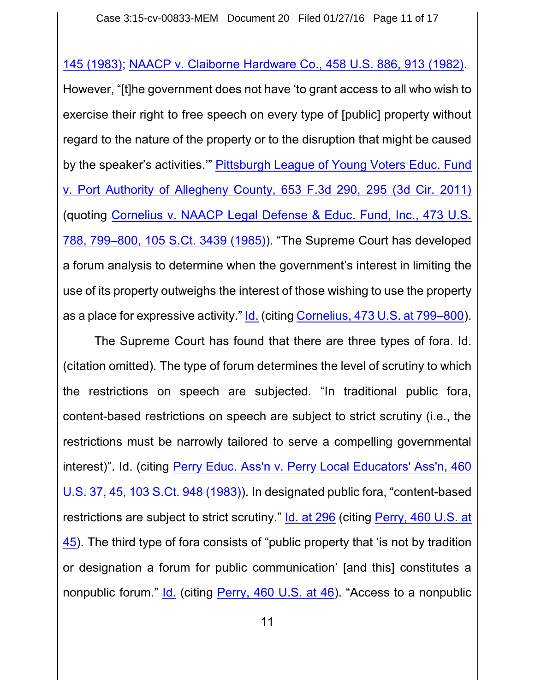145 (1983); NAACP v. [Claiborne Hardware Co., 458 U.S.](https://www.westlaw.com/Document/I178e6ef79c1f11d993e6d35cc61aab4a/View/FullText.html?transitionType=Default&contextData=(sc.Default)&VR=3.0&RS=da3.0&fragmentIdentifier=co_pp_sp_780_913) 886, 913 (1982).

However, "[t]he government does not have 'to grant access to all who wish to exercise their right to free speech on every type of [public] property without regard to the nature of the property or to the disruption that might be caused by the speaker's activities.'" [Pittsburgh League of](https://www.westlaw.com/Document/I05efcc1ebf8211e086cdc006bc7eafe7/View/FullText.html?transitionType=Default&contextData=(sc.Default)&VR=3.0&RS=da3.0&fragmentIdentifier=co_pp_sp_506_295) Young Voters Educ. Fund v. Port Authority of Allegheny County, [653 F.3d 290,](https://www.westlaw.com/Document/I05efcc1ebf8211e086cdc006bc7eafe7/View/FullText.html?transitionType=Default&contextData=(sc.Default)&VR=3.0&RS=da3.0&fragmentIdentifier=co_pp_sp_506_295) 295 (3d Cir. 2011) (quoting Cornelius v. NAACP [Legal Defense & Educ.](https://www.westlaw.com/Document/I2356e6f39c1e11d9bdd1cfdd544ca3a4/View/FullText.html?transitionType=Default&contextData=(sc.Default)&VR=3.0&RS=da3.0&fragmentIdentifier=co_pp_sp_780_799%e2%80%93800) Fund, Inc., 473 U.S. 788, 799–800, 105 S.Ct. [3439 \(1985\)](https://www.westlaw.com/Document/I2356e6f39c1e11d9bdd1cfdd544ca3a4/View/FullText.html?transitionType=Default&contextData=(sc.Default)&VR=3.0&RS=da3.0&fragmentIdentifier=co_pp_sp_780_799%e2%80%93800)). "The Supreme Court has developed a forum analysis to determine when the government's interest in limiting the use of its property outweighs the interest of those wishing to use the property as a place for expressive activity." [Id.](https://www.westlaw.com/Document/I2356e6f39c1e11d9bdd1cfdd544ca3a4/View/FullText.html?transitionType=Default&contextData=(sc.Default)&VR=3.0&RS=da3.0) (citing [Cornelius,](https://www.westlaw.com/Document/I2356e6f39c1e11d9bdd1cfdd544ca3a4/View/FullText.html?transitionType=Default&contextData=(sc.Default)&VR=3.0&RS=da3.0&fragmentIdentifier=co_pp_sp_780_799%e2%80%93800) 473 U.S. at 799–800).

The Supreme Court has found that there are three types of fora. Id. (citation omitted). The type of forum determines the level of scrutiny to which the restrictions on speech are subjected. "In traditional public fora, content-based restrictions on speech are subject to strict scrutiny (i.e., the restrictions must be narrowly tailored to serve a compelling governmental interest)". Id. (citing Perry Educ. Ass'n v. Perry [Local Educators' Ass'n,](https://www.westlaw.com/Document/I237348959c1e11d9bdd1cfdd544ca3a4/View/FullText.html?transitionType=Default&contextData=(sc.Default)&VR=3.0&RS=da3.0&fragmentIdentifier=co_pp_sp_780_45) 460 U.S. 37, 45, 103 S.Ct. [948 \(1983\)](https://www.westlaw.com/Document/I237348959c1e11d9bdd1cfdd544ca3a4/View/FullText.html?transitionType=Default&contextData=(sc.Default)&VR=3.0&RS=da3.0&fragmentIdentifier=co_pp_sp_780_45)). In designated public fora, "content-based restrictions are subject to strict scrutiny." Id. at [296](https://www.westlaw.com/Document/I05efcc1ebf8211e086cdc006bc7eafe7/View/FullText.html?transitionType=Default&contextData=(sc.Default)&VR=3.0&RS=da3.0&fragmentIdentifier=co_pp_sp_506_296) (citing [Perry, 460 U.S.](https://www.westlaw.com/Document/I237348959c1e11d9bdd1cfdd544ca3a4/View/FullText.html?transitionType=Default&contextData=(sc.Default)&VR=3.0&RS=da3.0&fragmentIdentifier=co_pp_sp_780_45) at [45](https://www.westlaw.com/Document/I237348959c1e11d9bdd1cfdd544ca3a4/View/FullText.html?transitionType=Default&contextData=(sc.Default)&VR=3.0&RS=da3.0&fragmentIdentifier=co_pp_sp_780_45)). The third type of fora consists of "public property that 'is not by tradition or designation a forum for public communication' [and this] constitutes a nonpublic forum." [Id.](https://www.westlaw.com/Document/I237348959c1e11d9bdd1cfdd544ca3a4/View/FullText.html?transitionType=Default&contextData=(sc.Default)&VR=3.0&RS=da3.0) (citing Perry, [460 U.S.](https://www.westlaw.com/Document/I237348959c1e11d9bdd1cfdd544ca3a4/View/FullText.html?transitionType=Default&contextData=(sc.Default)&VR=3.0&RS=da3.0&fragmentIdentifier=co_pp_sp_780_46) at 46). "Access to a nonpublic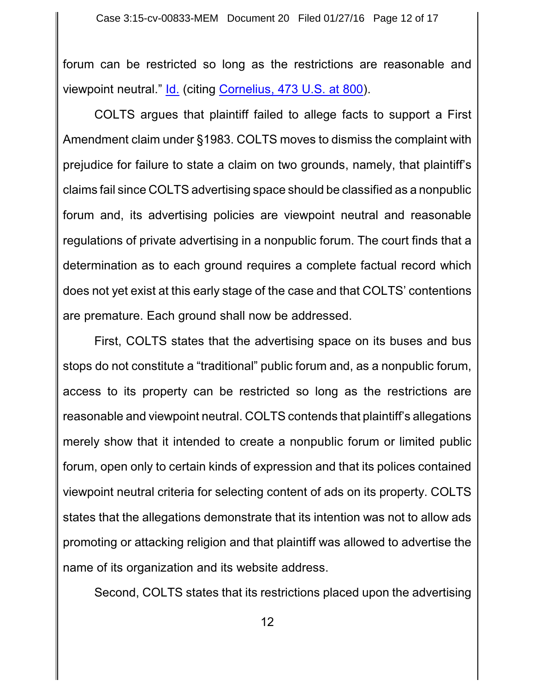forum can be restricted so long as the restrictions are reasonable and viewpoint neutral." [Id.](https://www.westlaw.com/Document/I237348959c1e11d9bdd1cfdd544ca3a4/View/FullText.html?transitionType=Default&contextData=(sc.Default)&VR=3.0&RS=da3.0) (citing [Cornelius,](https://www.westlaw.com/Document/I2356e6f39c1e11d9bdd1cfdd544ca3a4/View/FullText.html?transitionType=Default&contextData=(sc.Default)&VR=3.0&RS=da3.0&fragmentIdentifier=co_pp_sp_780_800) 473 U.S. at 800).

COLTS argues that plaintiff failed to allege facts to support a First Amendment claim under §1983. COLTS moves to dismiss the complaint with prejudice for failure to state a claim on two grounds, namely, that plaintiff's claims fail since COLTS advertising space should be classified as a nonpublic forum and, its advertising policies are viewpoint neutral and reasonable regulations of private advertising in a nonpublic forum. The court finds that a determination as to each ground requires a complete factual record which does not yet exist at this early stage of the case and that COLTS' contentions are premature. Each ground shall now be addressed.

First, COLTS states that the advertising space on its buses and bus stops do not constitute a "traditional" public forum and, as a nonpublic forum, access to its property can be restricted so long as the restrictions are reasonable and viewpoint neutral. COLTS contends that plaintiff's allegations merely show that it intended to create a nonpublic forum or limited public forum, open only to certain kinds of expression and that its polices contained viewpoint neutral criteria for selecting content of ads on its property. COLTS states that the allegations demonstrate that its intention was not to allow ads promoting or attacking religion and that plaintiff was allowed to advertise the name of its organization and its website address.

Second, COLTS states that its restrictions placed upon the advertising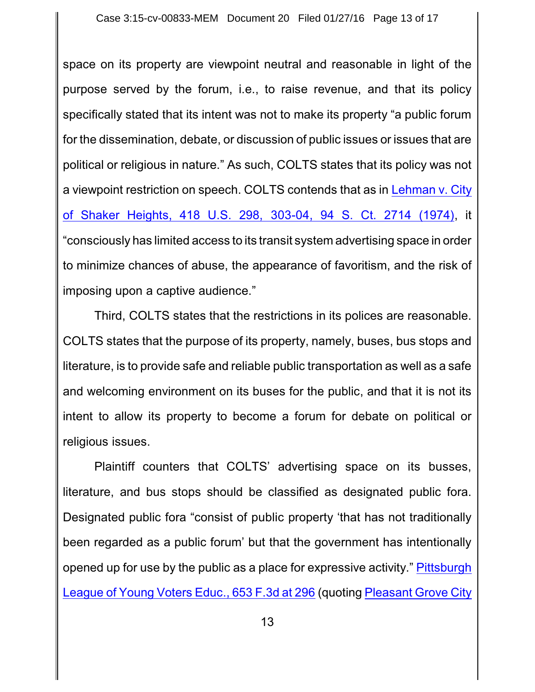space on its property are viewpoint neutral and reasonable in light of the purpose served by the forum, i.e., to raise revenue, and that its policy specifically stated that its intent was not to make its property "a public forum for the dissemination, debate, or discussion of public issues or issues that are political or religious in nature." As such, COLTS states that its policy was not a viewpoint restriction on speech. COLTS contends that as in [Lehman v.](https://www.westlaw.com/Document/I0a4487ea9bf011d991d0cc6b54f12d4d/View/FullText.html?transitionType=Default&contextData=(sc.Default)&VR=3.0&RS=da3.0&fragmentIdentifier=co_pp_sp_780_303) City of [Shaker Heights,](https://www.westlaw.com/Document/I0a4487ea9bf011d991d0cc6b54f12d4d/View/FullText.html?transitionType=Default&contextData=(sc.Default)&VR=3.0&RS=da3.0&fragmentIdentifier=co_pp_sp_780_303) 418 U.S. 298, 303-04, 94 S. Ct. 2714 (1974), it "consciously has limited access to its transit system advertising space in order to minimize chances of abuse, the appearance of favoritism, and the risk of imposing upon a captive audience."

Third, COLTS states that the restrictions in its polices are reasonable. COLTS states that the purpose of its property, namely, buses, bus stops and literature, is to provide safe and reliable public transportation as well as a safe and welcoming environment on its buses for the public, and that it is not its intent to allow its property to become a forum for debate on political or religious issues.

Plaintiff counters that COLTS' advertising space on its busses, literature, and bus stops should be classified as designated public fora. Designated public fora "consist of public property 'that has not traditionally been regarded as a public forum' but that the government has intentionally opened up for use by the public as a place for expressive activity." [Pittsburgh](https://www.westlaw.com/Document/I05efcc1ebf8211e086cdc006bc7eafe7/View/FullText.html?transitionType=Default&contextData=(sc.Default)&VR=3.0&RS=da3.0&fragmentIdentifier=co_pp_sp_506_296) League of [Young Voters](https://www.westlaw.com/Document/I05efcc1ebf8211e086cdc006bc7eafe7/View/FullText.html?transitionType=Default&contextData=(sc.Default)&VR=3.0&RS=da3.0&fragmentIdentifier=co_pp_sp_506_296) Educ., 653 F.3d at 296 (quoting Pleasant [Grove City](https://www.westlaw.com/Document/Ib9361e01034211deb5cbad29a280d47c/View/FullText.html?transitionType=Default&contextData=(sc.Default)&VR=3.0&RS=da3.0&fragmentIdentifier=co_pp_sp_708_1132)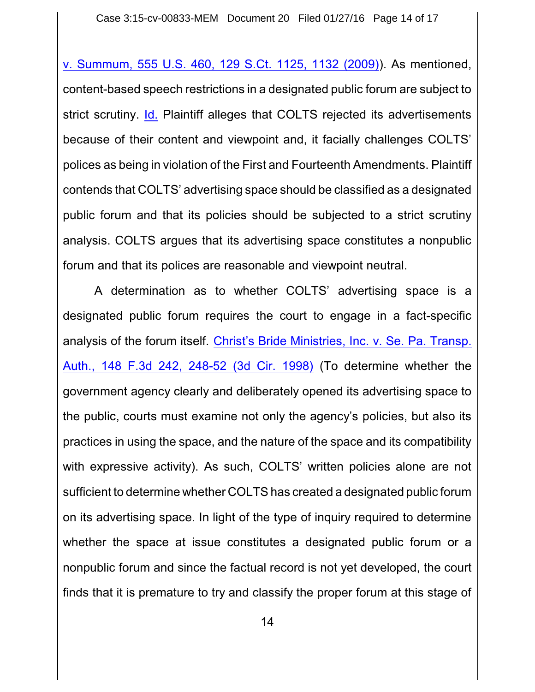v. Summum, 555 U.S. 460, 129 S.Ct. 1125, 1132 (2009)). As mentioned, content-based speech restrictions in a designated public forum are subject to strict scrutiny. [Id.](https://www.westlaw.com/Document/Ib9361e01034211deb5cbad29a280d47c/View/FullText.html?transitionType=Default&contextData=(sc.Default)&VR=3.0&RS=da3.0) Plaintiff alleges that COLTS rejected its advertisements because of their content and viewpoint and, it facially challenges COLTS' polices as being in violation of the First and Fourteenth Amendments. Plaintiff contends that COLTS' advertising space should be classified as a designated public forum and that its policies should be subjected to a strict scrutiny analysis. COLTS argues that its advertising space constitutes a nonpublic forum and that its polices are reasonable and viewpoint neutral.

A determination as to whether COLTS' advertising space is a designated public forum requires the court to engage in a fact-specific analysis of the forum itself. Christ's [Bride Ministries,](https://www.westlaw.com/Document/Ie9062769944111d9bdd1cfdd544ca3a4/View/FullText.html?transitionType=Default&contextData=(sc.Default)&VR=3.0&RS=da3.0&fragmentIdentifier=co_pp_sp_506_248) Inc. v. Se. Pa. Transp. Auth., 148 F.3d 242, [248-52 \(3d Cir.](https://www.westlaw.com/Document/Ie9062769944111d9bdd1cfdd544ca3a4/View/FullText.html?transitionType=Default&contextData=(sc.Default)&VR=3.0&RS=da3.0&fragmentIdentifier=co_pp_sp_506_248) 1998) (To determine whether the government agency clearly and deliberately opened its advertising space to the public, courts must examine not only the agency's policies, but also its practices in using the space, and the nature of the space and its compatibility with expressive activity). As such, COLTS' written policies alone are not sufficient to determine whether COLTS has created a designated public forum on its advertising space. In light of the type of inquiry required to determine whether the space at issue constitutes a designated public forum or a nonpublic forum and since the factual record is not yet developed, the court finds that it is premature to try and classify the proper forum at this stage of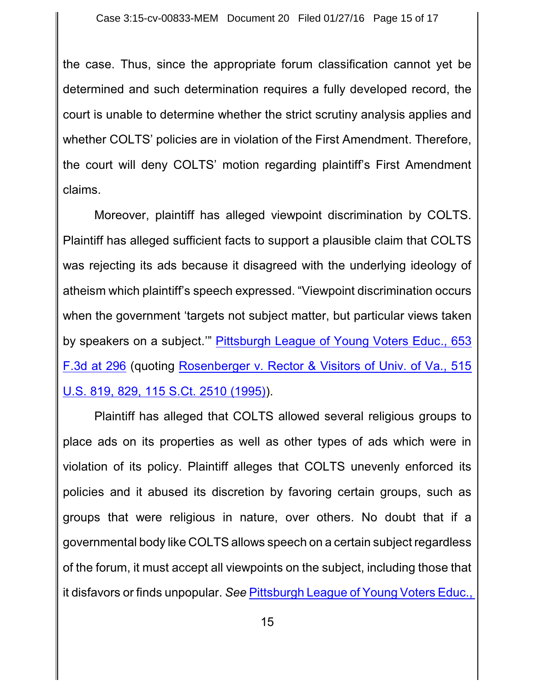the case. Thus, since the appropriate forum classification cannot yet be determined and such determination requires a fully developed record, the court is unable to determine whether the strict scrutiny analysis applies and whether COLTS' policies are in violation of the First Amendment. Therefore, the court will deny COLTS' motion regarding plaintiff's First Amendment claims.

Moreover, plaintiff has alleged viewpoint discrimination by COLTS. Plaintiff has alleged sufficient facts to support a plausible claim that COLTS was rejecting its ads because it disagreed with the underlying ideology of atheism which plaintiff's speech expressed. "Viewpoint discrimination occurs when the government 'targets not subject matter, but particular views taken by speakers on a subject.'" [Pittsburgh League of](https://www.westlaw.com/Document/I05efcc1ebf8211e086cdc006bc7eafe7/View/FullText.html?transitionType=Default&contextData=(sc.Default)&VR=3.0&RS=da3.0&fragmentIdentifier=co_pp_sp_506_296) Young Voters Educ., 653 [F.3d at](https://www.westlaw.com/Document/I05efcc1ebf8211e086cdc006bc7eafe7/View/FullText.html?transitionType=Default&contextData=(sc.Default)&VR=3.0&RS=da3.0&fragmentIdentifier=co_pp_sp_506_296) 296 (quoting Rosenberger v. [Rector & Visitors](https://www.westlaw.com/Document/Ia48c6e8c9c4a11d991d0cc6b54f12d4d/View/FullText.html?transitionType=Default&contextData=(sc.Default)&VR=3.0&RS=da3.0&fragmentIdentifier=co_pp_sp_780_829) of Univ. of Va., 515 U.S. 819, 829, 115 S.Ct. [2510 \(1995\)](https://www.westlaw.com/Document/Ia48c6e8c9c4a11d991d0cc6b54f12d4d/View/FullText.html?transitionType=Default&contextData=(sc.Default)&VR=3.0&RS=da3.0&fragmentIdentifier=co_pp_sp_780_829)).

Plaintiff has alleged that COLTS allowed several religious groups to place ads on its properties as well as other types of ads which were in violation of its policy. Plaintiff alleges that COLTS unevenly enforced its policies and it abused its discretion by favoring certain groups, such as groups that were religious in nature, over others. No doubt that if a governmental body like COLTS allows speech on a certain subject regardless of the forum, it must accept all viewpoints on the subject, including those that it disfavors or finds unpopular. *See* [Pittsburgh League of](https://www.westlaw.com/Document/I05efcc1ebf8211e086cdc006bc7eafe7/View/FullText.html?transitionType=Default&contextData=(sc.Default)&VR=3.0&RS=da3.0&fragmentIdentifier=co_pp_sp_506_296) Young Voters Educ.,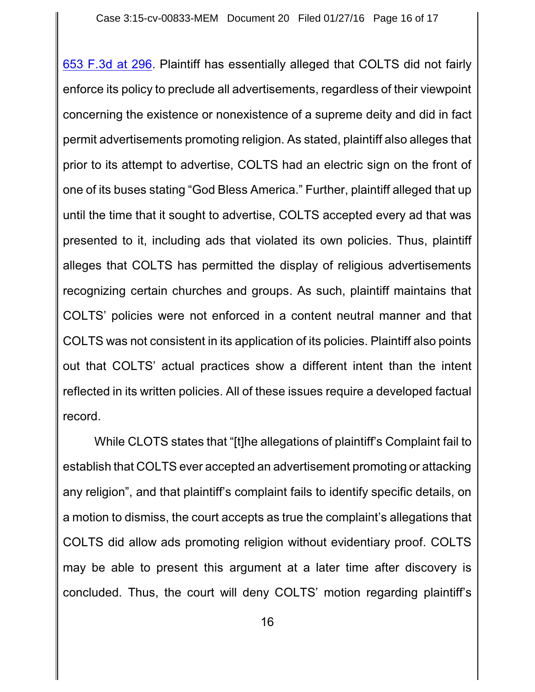653 F.3d at 296. Plaintiff has essentially alleged that COLTS did not fairly enforce its policy to preclude all advertisements, regardless of their viewpoint concerning the existence or nonexistence of a supreme deity and did in fact permit advertisements promoting religion. As stated, plaintiff also alleges that prior to its attempt to advertise, COLTS had an electric sign on the front of one of its buses stating "God Bless America." Further, plaintiff alleged that up until the time that it sought to advertise, COLTS accepted every ad that was presented to it, including ads that violated its own policies. Thus, plaintiff alleges that COLTS has permitted the display of religious advertisements recognizing certain churches and groups. As such, plaintiff maintains that COLTS' policies were not enforced in a content neutral manner and that COLTS was not consistent in its application of its policies. Plaintiff also points out that COLTS' actual practices show a different intent than the intent reflected in its written policies. All of these issues require a developed factual record.

While CLOTS states that "[t]he allegations of plaintiff's Complaint fail to establish that COLTS ever accepted an advertisement promoting or attacking any religion", and that plaintiff's complaint fails to identify specific details, on a motion to dismiss, the court accepts as true the complaint's allegations that COLTS did allow ads promoting religion without evidentiary proof. COLTS may be able to present this argument at a later time after discovery is concluded. Thus, the court will deny COLTS' motion regarding plaintiff's